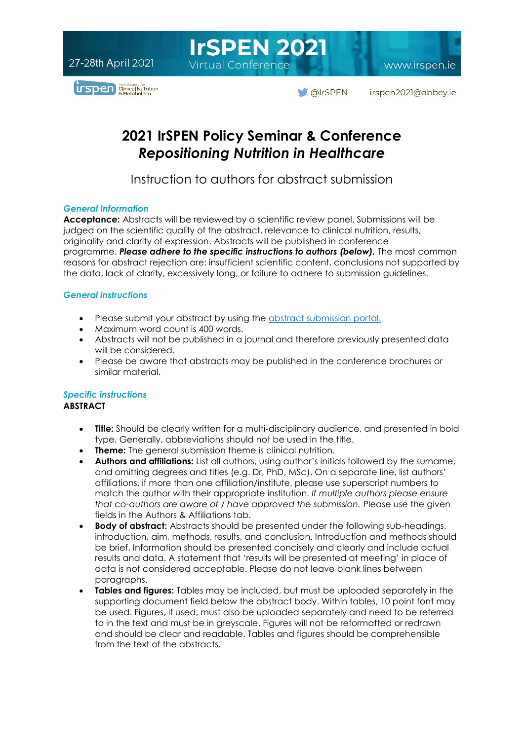**IrSPEN 2021 Virtual Conference** 

www.irspen.ie



**OIrSPEN** irspen2021@abbey.ie

## **2021 IrSPEN Policy Seminar & Conference** *Repositioning Nutrition in Healthcare*

Instruction to authors for abstract submission

#### *General Information*

**Acceptance:** Abstracts will be reviewed by a scientific review panel. Submissions will be judged on the scientific quality of the abstract, relevance to clinical nutrition, results, originality and clarity of expression. Abstracts will be published in conference programme. *Please adhere to the specific instructions to authors (below).* The most common reasons for abstract rejection are: insufficient scientific content, conclusions not supported by the data, lack of clarity, excessively long, or failure to adhere to submission guidelines.

#### *General instructions*

- Please submit your abstract by using the [abstract submission portal.](https://abbey.eventsair.com/irspen-2021/abstract-submission-portal)
- Maximum word count is 400 words.
- Abstracts will not be published in a journal and therefore previously presented data will be considered.
- Please be aware that abstracts may be published in the conference brochures or similar material.

## *Specific instructions*

### **ABSTRACT**

- **Title:** Should be clearly written for a multi-disciplinary audience, and presented in bold type. Generally, abbreviations should not be used in the title.
- **Theme:** The general submission theme is clinical nutrition.
- **Authors and affiliations:** List all authors, using author's initials followed by the surname, and omitting degrees and titles (e.g. Dr, PhD, MSc). On a separate line, list authors' affiliations, if more than one affiliation/institute, please use superscript numbers to match the author with their appropriate institution. *If multiple authors please ensure that co-authors are aware of / have approved the submission.* Please use the given fields in the Authors & Affiliations tab.
- **Body of abstract:** Abstracts should be presented under the following sub-headings, introduction, aim, methods, results, and conclusion. Introduction and methods should be brief. Information should be presented concisely and clearly and include actual results and data. A statement that 'results will be presented at meeting' in place of data is not considered acceptable. Please do not leave blank lines between paragraphs.
- **Tables and figures:** Tables may be included, but must be uploaded separately in the supporting document field below the abstract body. Within tables, 10 point font may be used. Figures, if used, must also be uploaded separately and need to be referred to in the text and must be in greyscale. Figures will not be reformatted or redrawn and should be clear and readable. Tables and figures should be comprehensible from the text of the abstracts.